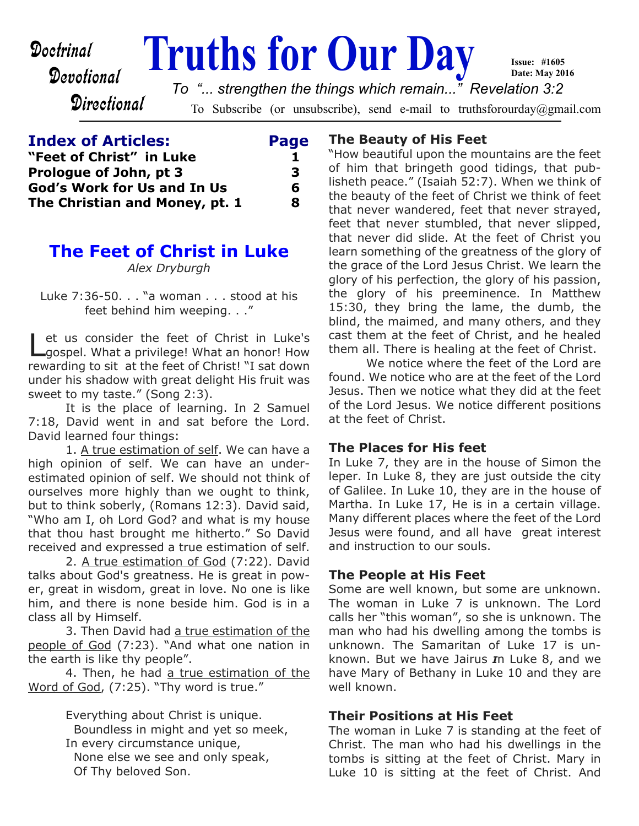# Devotional

**Directional** 

**Doctrinal Truths for Our Day Issue: #1605 Date: May 2016** *To "... strengthen the things which remain..." Revelation 3:2*

To Subscribe (or unsubscribe), send e-mail to truthsforourday@gmail.com

| <b>Index of Articles:</b>          | Page |
|------------------------------------|------|
| "Feet of Christ" in Luke           |      |
| Prologue of John, pt 3             | з    |
| <b>God's Work for Us and In Us</b> | 6    |
| The Christian and Money, pt. 1     | 8    |

# **The Feet of Christ in Luke**

*Alex Dryburgh*

Luke 7:36-50. . . "a woman . . . stood at his feet behind him weeping. . ."

Let us consider the feet of Christ in Luke's<br>Lgospel. What a privilege! What an honor! How et us consider the feet of Christ in Luke's rewarding to sit at the feet of Christ! "I sat down under his shadow with great delight His fruit was sweet to my taste." (Song 2:3).

 It is the place of learning. In 2 Samuel 7:18, David went in and sat before the Lord. David learned four things:

 1. A true estimation of self. We can have a high opinion of self. We can have an underestimated opinion of self. We should not think of ourselves more highly than we ought to think, but to think soberly, (Romans 12:3). David said, "Who am I, oh Lord God? and what is my house that thou hast brought me hitherto." So David received and expressed a true estimation of self.

2. A true estimation of God (7:22). David talks about God's greatness. He is great in power, great in wisdom, great in love. No one is like him, and there is none beside him. God is in a class all by Himself.

 3. Then David had a true estimation of the people of God (7:23). "And what one nation in the earth is like thy people".

 4. Then, he had a true estimation of the Word of God, (7:25). "Thy word is true."

> Everything about Christ is unique. Boundless in might and yet so meek, In every circumstance unique, None else we see and only speak, Of Thy beloved Son.

## **The Beauty of His Feet**

"How beautiful upon the mountains are the feet of him that bringeth good tidings, that publisheth peace." (Isaiah 52:7). When we think of the beauty of the feet of Christ we think of feet that never wandered, feet that never strayed, feet that never stumbled, that never slipped, that never did slide. At the feet of Christ you learn something of the greatness of the glory of the grace of the Lord Jesus Christ. We learn the glory of his perfection, the glory of his passion, the glory of his preeminence. In Matthew 15:30, they bring the lame, the dumb, the blind, the maimed, and many others, and they cast them at the feet of Christ, and he healed them all. There is healing at the feet of Christ.

 We notice where the feet of the Lord are found. We notice who are at the feet of the Lord Jesus. Then we notice what they did at the feet of the Lord Jesus. We notice different positions at the feet of Christ.

#### **The Places for His feet**

In Luke 7, they are in the house of Simon the leper. In Luke 8, they are just outside the city of Galilee. In Luke 10, they are in the house of Martha. In Luke 17, He is in a certain village. Many different places where the feet of the Lord Jesus were found, and all have great interest and instruction to our souls.

## **The People at His Feet**

Some are well known, but some are unknown. The woman in Luke 7 is unknown. The Lord calls her "this woman", so she is unknown. The man who had his dwelling among the tombs is unknown. The Samaritan of Luke 17 is unknown. But we have Jairus *I*n Luke 8, and we have Mary of Bethany in Luke 10 and they are well known.

## **Their Positions at His Feet**

The woman in Luke 7 is standing at the feet of Christ. The man who had his dwellings in the tombs is sitting at the feet of Christ. Mary in Luke 10 is sitting at the feet of Christ. And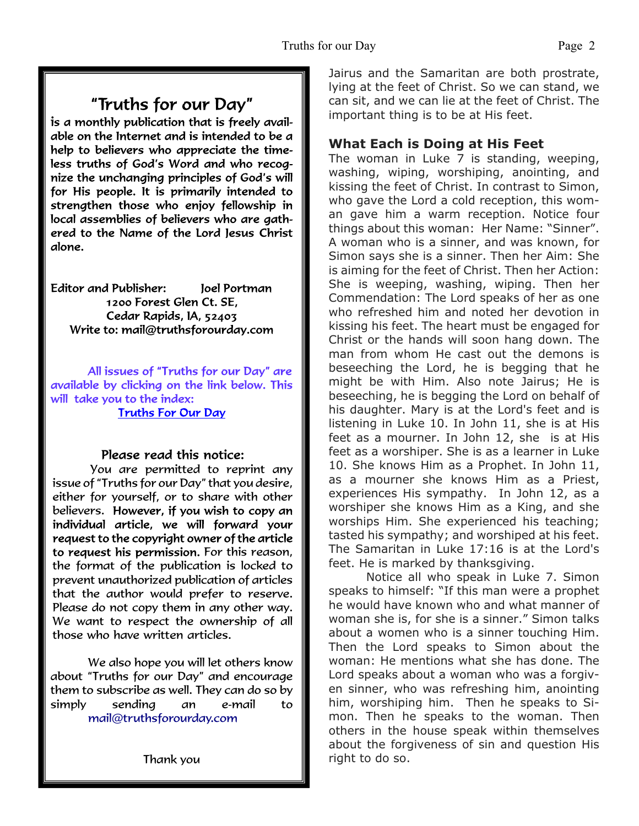# "Truths for our Day"

is a monthly publication that is freely available on the Internet and is intended to be a help to believers who appreciate the timeless truths of God's Word and who recognize the unchanging principles of God's will for His people. It is primarily intended to strengthen those who enjoy fellowship in local assemblies of believers who are gathered to the Name of the Lord Jesus Christ alone.

**Editor and Publisher:** Joel Portman 1200 Forest Glen Ct. SE. Cedar Rapids, IA, 52403 Write to: mail@truthsforourday.com

All issues of "Truths for our Day" are available by clicking on the link below. This will take you to the index: **Truths For Our Day** 

## Please read this notice:

You are permitted to reprint any issue of "Truths for our Day" that you desire, either for yourself, or to share with other believers. However, if you wish to copy an individual article, we will forward your request to the copyright owner of the article to request his permission. For this reason, the format of the publication is locked to prevent unauthorized publication of articles that the author would prefer to reserve. Please do not copy them in any other way. We want to respect the ownership of all those who have written articles.

 We also hope you will let others know about "Truths for our Day" and encourage them to subscribe as well. They can do so by simply sending an e-mail to mail@truthsforourday.com

Jairus and the Samaritan are both prostrate, lying at the feet of Christ. So we can stand, we can sit, and we can lie at the feet of Christ. The important thing is to be at His feet.

# **What Each is Doing at His Feet**

The woman in Luke 7 is standing, weeping, washing, wiping, worshiping, anointing, and kissing the feet of Christ. In contrast to Simon, who gave the Lord a cold reception, this woman gave him a warm reception. Notice four things about this woman: Her Name: "Sinner". A woman who is a sinner, and was known, for Simon says she is a sinner. Then her Aim: She is aiming for the feet of Christ. Then her Action: She is weeping, washing, wiping. Then her Commendation: The Lord speaks of her as one who refreshed him and noted her devotion in kissing his feet. The heart must be engaged for Christ or the hands will soon hang down. The man from whom He cast out the demons is beseeching the Lord, he is begging that he might be with Him. Also note Jairus; He is beseeching, he is begging the Lord on behalf of his daughter. Mary is at the Lord's feet and is listening in Luke 10. In John 11, she is at His feet as a mourner. In John 12, she is at His feet as a worshiper. She is as a learner in Luke 10. She knows Him as a Prophet. In John 11, as a mourner she knows Him as a Priest, experiences His sympathy. In John 12, as a worshiper she knows Him as a King, and she worships Him. She experienced his teaching; tasted his sympathy; and worshiped at his feet. The Samaritan in Luke 17:16 is at the Lord's feet. He is marked by thanksgiving.

 Notice all who speak in Luke 7. Simon speaks to himself: "If this man were a prophet he would have known who and what manner of woman she is, for she is a sinner." Simon talks about a women who is a sinner touching Him. Then the Lord speaks to Simon about the woman: He mentions what she has done. The Lord speaks about a woman who was a forgiven sinner, who was refreshing him, anointing him, worshiping him. Then he speaks to Simon. Then he speaks to the woman. Then others in the house speak within themselves about the forgiveness of sin and question His right to do so.

Thank you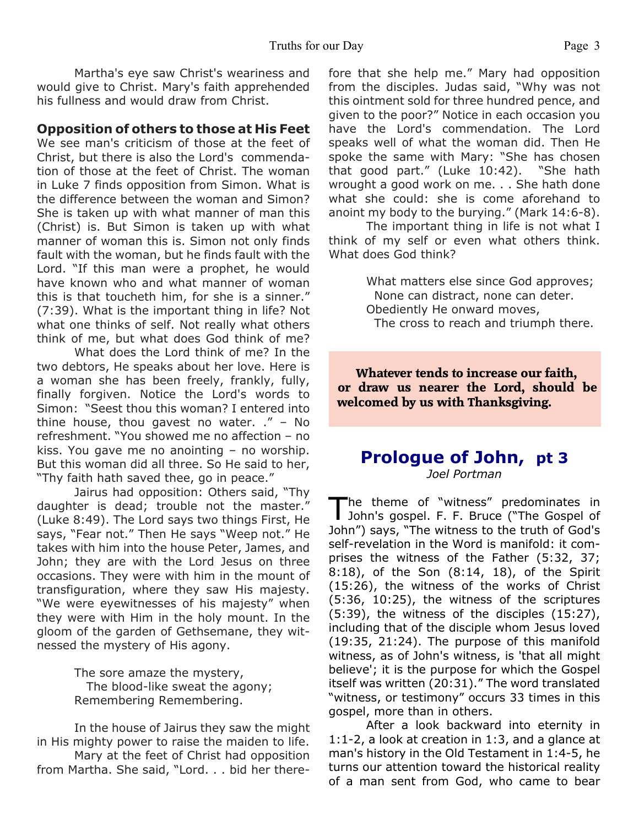Martha's eye saw Christ's weariness and would give to Christ. Mary's faith apprehended his fullness and would draw from Christ.

#### **Opposition of others to those at His Feet**

We see man's criticism of those at the feet of Christ, but there is also the Lord's commendation of those at the feet of Christ. The woman in Luke 7 finds opposition from Simon. What is the difference between the woman and Simon? She is taken up with what manner of man this (Christ) is. But Simon is taken up with what manner of woman this is. Simon not only finds fault with the woman, but he finds fault with the Lord. "If this man were a prophet, he would have known who and what manner of woman this is that toucheth him, for she is a sinner." (7:39). What is the important thing in life? Not what one thinks of self. Not really what others think of me, but what does God think of me?

 What does the Lord think of me? In the two debtors, He speaks about her love. Here is a woman she has been freely, frankly, fully, finally forgiven. Notice the Lord's words to Simon: "Seest thou this woman? I entered into thine house, thou gavest no water. ." – No refreshment. "You showed me no affection – no kiss. You gave me no anointing – no worship. But this woman did all three. So He said to her, "Thy faith hath saved thee, go in peace."

 Jairus had opposition: Others said, "Thy daughter is dead; trouble not the master." (Luke 8:49). The Lord says two things First, He says, "Fear not." Then He says "Weep not." He takes with him into the house Peter, James, and John; they are with the Lord Jesus on three occasions. They were with him in the mount of transfiguration, where they saw His majesty. "We were eyewitnesses of his majesty" when they were with Him in the holy mount. In the gloom of the garden of Gethsemane, they witnessed the mystery of His agony.

> The sore amaze the mystery, The blood-like sweat the agony; Remembering Remembering.

 In the house of Jairus they saw the might in His mighty power to raise the maiden to life. Mary at the feet of Christ had opposition from Martha. She said, "Lord. . . bid her therefore that she help me." Mary had opposition from the disciples. Judas said, "Why was not this ointment sold for three hundred pence, and given to the poor?" Notice in each occasion you have the Lord's commendation. The Lord speaks well of what the woman did. Then He spoke the same with Mary: "She has chosen that good part." (Luke 10:42). "She hath wrought a good work on me. . . She hath done what she could: she is come aforehand to anoint my body to the burying." (Mark 14:6-8).

 The important thing in life is not what I think of my self or even what others think. What does God think?

> What matters else since God approves; None can distract, none can deter. Obediently He onward moves, The cross to reach and triumph there.

**Whatever tends to increase our faith, or draw us nearer the Lord, should be welcomed by us with Thanksgiving.**

# **Prologue of John, pt 3**

*Joel Portman*

 $\overline{\mathbf{I}}$ he theme of "witness" predominates in John's gospel. F. F. Bruce ("The Gospel of John") says, "The witness to the truth of God's self-revelation in the Word is manifold: it comprises the witness of the Father (5:32, 37; 8:18), of the Son (8:14, 18), of the Spirit (15:26), the witness of the works of Christ (5:36, 10:25), the witness of the scriptures (5:39), the witness of the disciples (15:27), including that of the disciple whom Jesus loved (19:35, 21:24). The purpose of this manifold witness, as of John's witness, is 'that all might believe'; it is the purpose for which the Gospel itself was written (20:31)." The word translated "witness, or testimony" occurs 33 times in this gospel, more than in others.

 After a look backward into eternity in 1:1-2, a look at creation in 1:3, and a glance at man's history in the Old Testament in 1:4-5, he turns our attention toward the historical reality of a man sent from God, who came to bear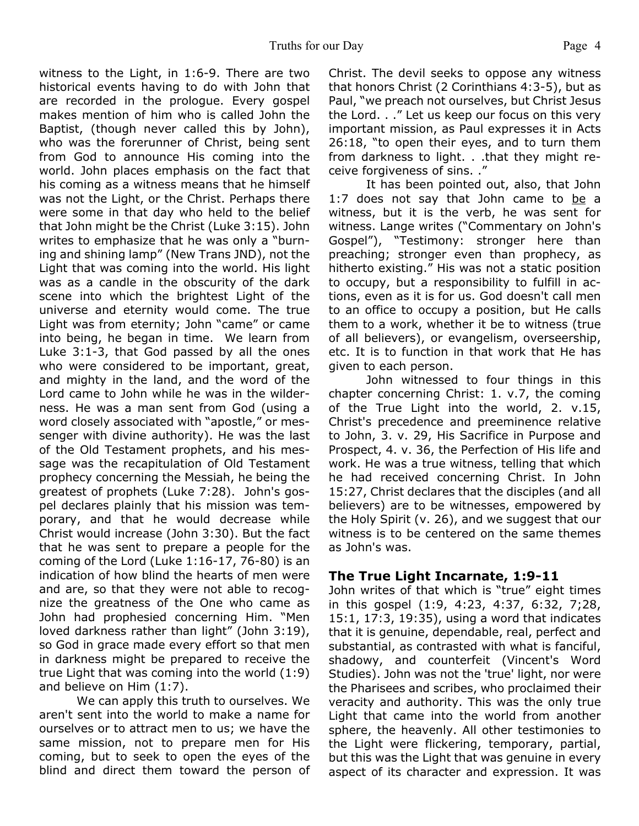witness to the Light, in 1:6-9. There are two historical events having to do with John that are recorded in the prologue. Every gospel makes mention of him who is called John the Baptist, (though never called this by John), who was the forerunner of Christ, being sent from God to announce His coming into the world. John places emphasis on the fact that his coming as a witness means that he himself was not the Light, or the Christ. Perhaps there were some in that day who held to the belief that John might be the Christ (Luke 3:15). John writes to emphasize that he was only a "burning and shining lamp" (New Trans JND), not the Light that was coming into the world. His light was as a candle in the obscurity of the dark scene into which the brightest Light of the universe and eternity would come. The true Light was from eternity; John "came" or came into being, he began in time. We learn from Luke 3:1-3, that God passed by all the ones who were considered to be important, great, and mighty in the land, and the word of the Lord came to John while he was in the wilderness. He was a man sent from God (using a word closely associated with "apostle," or messenger with divine authority). He was the last of the Old Testament prophets, and his message was the recapitulation of Old Testament prophecy concerning the Messiah, he being the greatest of prophets (Luke 7:28). John's gospel declares plainly that his mission was temporary, and that he would decrease while Christ would increase (John 3:30). But the fact that he was sent to prepare a people for the coming of the Lord (Luke 1:16-17, 76-80) is an indication of how blind the hearts of men were and are, so that they were not able to recognize the greatness of the One who came as John had prophesied concerning Him. "Men loved darkness rather than light" (John 3:19), so God in grace made every effort so that men in darkness might be prepared to receive the true Light that was coming into the world (1:9) and believe on Him (1:7).

 We can apply this truth to ourselves. We aren't sent into the world to make a name for ourselves or to attract men to us; we have the same mission, not to prepare men for His coming, but to seek to open the eyes of the blind and direct them toward the person of Christ. The devil seeks to oppose any witness that honors Christ (2 Corinthians 4:3-5), but as Paul, "we preach not ourselves, but Christ Jesus the Lord. . ." Let us keep our focus on this very important mission, as Paul expresses it in Acts 26:18, "to open their eyes, and to turn them from darkness to light. . .that they might receive forgiveness of sins. ."

 It has been pointed out, also, that John 1:7 does not say that John came to be a witness, but it is the verb, he was sent for witness. Lange writes ("Commentary on John's Gospel"), "Testimony: stronger here than preaching; stronger even than prophecy, as hitherto existing." His was not a static position to occupy, but a responsibility to fulfill in actions, even as it is for us. God doesn't call men to an office to occupy a position, but He calls them to a work, whether it be to witness (true of all believers), or evangelism, overseership, etc. It is to function in that work that He has given to each person.

 John witnessed to four things in this chapter concerning Christ: 1. v.7, the coming of the True Light into the world, 2. v.15, Christ's precedence and preeminence relative to John, 3. v. 29, His Sacrifice in Purpose and Prospect, 4. v. 36, the Perfection of His life and work. He was a true witness, telling that which he had received concerning Christ. In John 15:27, Christ declares that the disciples (and all believers) are to be witnesses, empowered by the Holy Spirit (v. 26), and we suggest that our witness is to be centered on the same themes as John's was.

## **The True Light Incarnate, 1:9-11**

John writes of that which is "true" eight times in this gospel (1:9, 4:23, 4:37, 6:32, 7;28, 15:1, 17:3, 19:35), using a word that indicates that it is genuine, dependable, real, perfect and substantial, as contrasted with what is fanciful, shadowy, and counterfeit (Vincent's Word Studies). John was not the 'true' light, nor were the Pharisees and scribes, who proclaimed their veracity and authority. This was the only true Light that came into the world from another sphere, the heavenly. All other testimonies to the Light were flickering, temporary, partial, but this was the Light that was genuine in every aspect of its character and expression. It was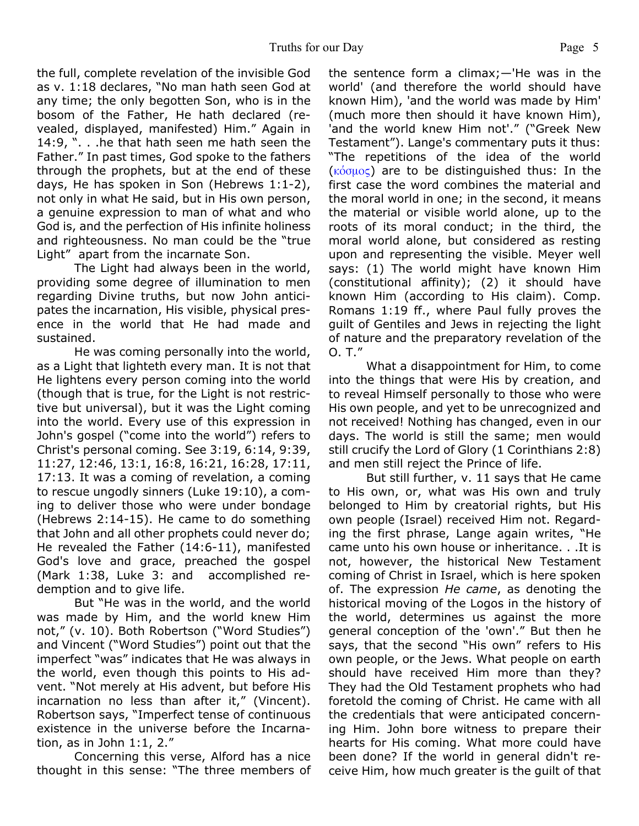the full, complete revelation of the invisible God as v. 1:18 declares, "No man hath seen God at any time; the only begotten Son, who is in the bosom of the Father, He hath declared (revealed, displayed, manifested) Him." Again in 14:9, ". . .he that hath seen me hath seen the Father." In past times, God spoke to the fathers through the prophets, but at the end of these days, He has spoken in Son (Hebrews 1:1-2), not only in what He said, but in His own person, a genuine expression to man of what and who God is, and the perfection of His infinite holiness and righteousness. No man could be the "true Light" apart from the incarnate Son.

 The Light had always been in the world, providing some degree of illumination to men regarding Divine truths, but now John anticipates the incarnation, His visible, physical presence in the world that He had made and sustained.

 He was coming personally into the world, as a Light that lighteth every man. It is not that He lightens every person coming into the world (though that is true, for the Light is not restrictive but universal), but it was the Light coming into the world. Every use of this expression in John's gospel ("come into the world") refers to Christ's personal coming. See 3:19, 6:14, 9:39, 11:27, 12:46, 13:1, 16:8, 16:21, 16:28, 17:11, 17:13. It was a coming of revelation, a coming to rescue ungodly sinners (Luke 19:10), a coming to deliver those who were under bondage (Hebrews 2:14-15). He came to do something that John and all other prophets could never do; He revealed the Father (14:6-11), manifested God's love and grace, preached the gospel (Mark 1:38, Luke 3: and accomplished redemption and to give life.

 But "He was in the world, and the world was made by Him, and the world knew Him not," (v. 10). Both Robertson ("Word Studies") and Vincent ("Word Studies") point out that the imperfect "was" indicates that He was always in the world, even though this points to His advent. "Not merely at His advent, but before His incarnation no less than after it," (Vincent). Robertson says, "Imperfect tense of continuous existence in the universe before the Incarnation, as in John 1:1, 2."

 Concerning this verse, Alford has a nice thought in this sense: "The three members of the sentence form a climax;—'He was in the world' (and therefore the world should have known Him), 'and the world was made by Him' (much more then should it have known Him), 'and the world knew Him not'." ("Greek New Testament"). Lange's commentary puts it thus: "The repetitions of the idea of the world  $(\kappa' \circ \mu)$  are to be distinguished thus: In the first case the word combines the material and the moral world in one; in the second, it means the material or visible world alone, up to the roots of its moral conduct; in the third, the moral world alone, but considered as resting upon and representing the visible. Meyer well says: (1) The world might have known Him (constitutional affinity); (2) it should have known Him (according to His claim). Comp. Romans 1:19 ff., where Paul fully proves the guilt of Gentiles and Jews in rejecting the light of nature and the preparatory revelation of the O. T."

 What a disappointment for Him, to come into the things that were His by creation, and to reveal Himself personally to those who were His own people, and yet to be unrecognized and not received! Nothing has changed, even in our days. The world is still the same; men would still crucify the Lord of Glory (1 Corinthians 2:8) and men still reject the Prince of life.

 But still further, v. 11 says that He came to His own, or, what was His own and truly belonged to Him by creatorial rights, but His own people (Israel) received Him not. Regarding the first phrase, Lange again writes, "He came unto his own house or inheritance. . .It is not, however, the historical New Testament coming of Christ in Israel, which is here spoken of. The expression *He came*, as denoting the historical moving of the Logos in the history of the world, determines us against the more general conception of the 'own'." But then he says, that the second "His own" refers to His own people, or the Jews. What people on earth should have received Him more than they? They had the Old Testament prophets who had foretold the coming of Christ. He came with all the credentials that were anticipated concerning Him. John bore witness to prepare their hearts for His coming. What more could have been done? If the world in general didn't receive Him, how much greater is the guilt of that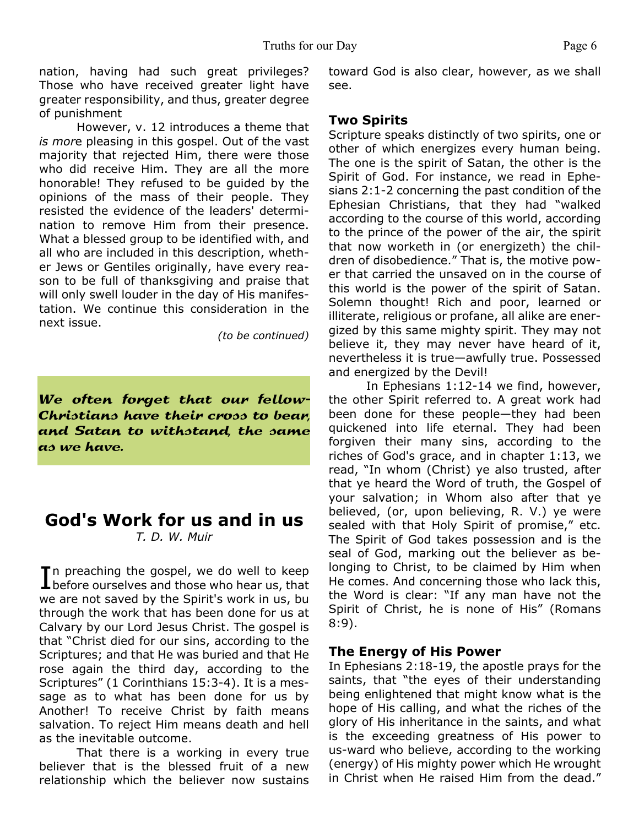nation, having had such great privileges? Those who have received greater light have greater responsibility, and thus, greater degree of punishment

However, v. 12 introduces a theme that *is mor*e pleasing in this gospel. Out of the vast majority that rejected Him, there were those who did receive Him. They are all the more honorable! They refused to be guided by the opinions of the mass of their people. They resisted the evidence of the leaders' determination to remove Him from their presence. What a blessed group to be identified with, and all who are included in this description, whether Jews or Gentiles originally, have every reason to be full of thanksgiving and praise that will only swell louder in the day of His manifestation. We continue this consideration in the next issue.

*(to be continued)*

We often forget that our fellow-Christians have their cross to bear, and Satan to withstand, the same as we have.

# **God's Work for us and in us** *T. D. W. Muir*

In preaching the gospel, we do well to keep<br>before ourselves and those who hear us, that In preaching the gospel, we do well to keep we are not saved by the Spirit's work in us, bu through the work that has been done for us at Calvary by our Lord Jesus Christ. The gospel is that "Christ died for our sins, according to the Scriptures; and that He was buried and that He rose again the third day, according to the Scriptures" (1 Corinthians 15:3-4). It is a message as to what has been done for us by Another! To receive Christ by faith means salvation. To reject Him means death and hell as the inevitable outcome.

 That there is a working in every true believer that is the blessed fruit of a new relationship which the believer now sustains toward God is also clear, however, as we shall see.

#### **Two Spirits**

Scripture speaks distinctly of two spirits, one or other of which energizes every human being. The one is the spirit of Satan, the other is the Spirit of God. For instance, we read in Ephesians 2:1-2 concerning the past condition of the Ephesian Christians, that they had "walked according to the course of this world, according to the prince of the power of the air, the spirit that now worketh in (or energizeth) the children of disobedience." That is, the motive power that carried the unsaved on in the course of this world is the power of the spirit of Satan. Solemn thought! Rich and poor, learned or illiterate, religious or profane, all alike are energized by this same mighty spirit. They may not believe it, they may never have heard of it, nevertheless it is true—awfully true. Possessed and energized by the Devil!

 In Ephesians 1:12-14 we find, however, the other Spirit referred to. A great work had been done for these people—they had been quickened into life eternal. They had been forgiven their many sins, according to the riches of God's grace, and in chapter 1:13, we read, "In whom (Christ) ye also trusted, after that ye heard the Word of truth, the Gospel of your salvation; in Whom also after that ye believed, (or, upon believing, R. V.) ye were sealed with that Holy Spirit of promise," etc. The Spirit of God takes possession and is the seal of God, marking out the believer as belonging to Christ, to be claimed by Him when He comes. And concerning those who lack this, the Word is clear: "If any man have not the Spirit of Christ, he is none of His" (Romans 8:9).

#### **The Energy of His Power**

In Ephesians 2:18-19, the apostle prays for the saints, that "the eyes of their understanding being enlightened that might know what is the hope of His calling, and what the riches of the glory of His inheritance in the saints, and what is the exceeding greatness of His power to us-ward who believe, according to the working (energy) of His mighty power which He wrought in Christ when He raised Him from the dead."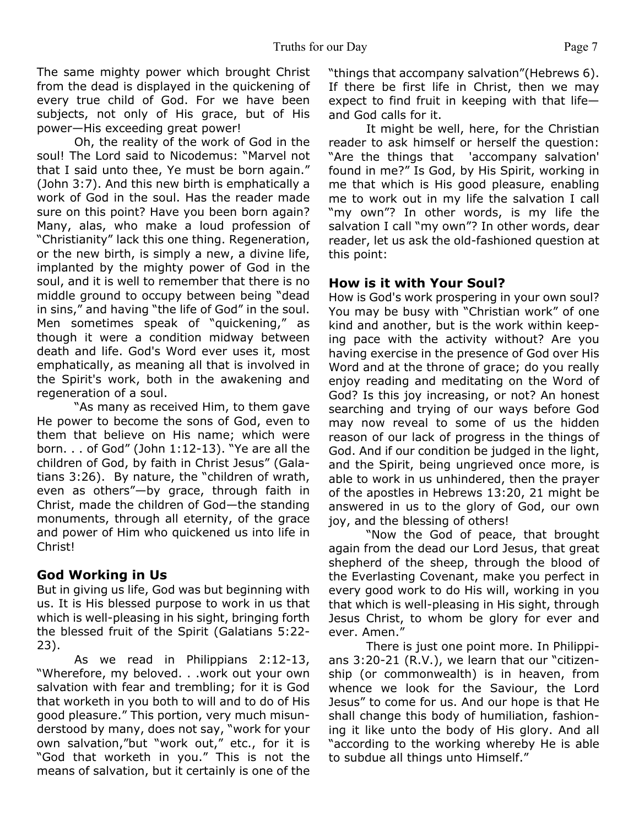The same mighty power which brought Christ from the dead is displayed in the quickening of every true child of God. For we have been subjects, not only of His grace, but of His power—His exceeding great power!

Oh, the reality of the work of God in the soul! The Lord said to Nicodemus: "Marvel not that I said unto thee, Ye must be born again." (John 3:7). And this new birth is emphatically a work of God in the soul. Has the reader made sure on this point? Have you been born again? Many, alas, who make a loud profession of "Christianity" lack this one thing. Regeneration, or the new birth, is simply a new, a divine life, implanted by the mighty power of God in the soul, and it is well to remember that there is no middle ground to occupy between being "dead in sins," and having "the life of God" in the soul. Men sometimes speak of "quickening," as though it were a condition midway between death and life. God's Word ever uses it, most emphatically, as meaning all that is involved in the Spirit's work, both in the awakening and regeneration of a soul.

 "As many as received Him, to them gave He power to become the sons of God, even to them that believe on His name; which were born. . . of God" (John 1:12-13). "Ye are all the children of God, by faith in Christ Jesus" (Galatians 3:26). By nature, the "children of wrath, even as others"—by grace, through faith in Christ, made the children of God—the standing monuments, through all eternity, of the grace and power of Him who quickened us into life in Christ!

## **God Working in Us**

But in giving us life, God was but beginning with us. It is His blessed purpose to work in us that which is well-pleasing in his sight, bringing forth the blessed fruit of the Spirit (Galatians 5:22- 23).

 As we read in Philippians 2:12-13, "Wherefore, my beloved. . .work out your own salvation with fear and trembling; for it is God that worketh in you both to will and to do of His good pleasure." This portion, very much misunderstood by many, does not say, "work for your own salvation,"but "work out," etc., for it is "God that worketh in you." This is not the means of salvation, but it certainly is one of the

"things that accompany salvation"(Hebrews 6). If there be first life in Christ, then we may expect to find fruit in keeping with that life and God calls for it.

 It might be well, here, for the Christian reader to ask himself or herself the question: "Are the things that 'accompany salvation' found in me?" Is God, by His Spirit, working in me that which is His good pleasure, enabling me to work out in my life the salvation I call "my own"? In other words, is my life the salvation I call "my own"? In other words, dear reader, let us ask the old-fashioned question at this point:

## **How is it with Your Soul?**

How is God's work prospering in your own soul? You may be busy with "Christian work" of one kind and another, but is the work within keeping pace with the activity without? Are you having exercise in the presence of God over His Word and at the throne of grace; do you really enjoy reading and meditating on the Word of God? Is this joy increasing, or not? An honest searching and trying of our ways before God may now reveal to some of us the hidden reason of our lack of progress in the things of God. And if our condition be judged in the light, and the Spirit, being ungrieved once more, is able to work in us unhindered, then the prayer of the apostles in Hebrews 13:20, 21 might be answered in us to the glory of God, our own joy, and the blessing of others!

 "Now the God of peace, that brought again from the dead our Lord Jesus, that great shepherd of the sheep, through the blood of the Everlasting Covenant, make you perfect in every good work to do His will, working in you that which is well-pleasing in His sight, through Jesus Christ, to whom be glory for ever and ever. Amen."

 There is just one point more. In Philippians 3:20-21 (R.V.), we learn that our "citizenship (or commonwealth) is in heaven, from whence we look for the Saviour, the Lord Jesus" to come for us. And our hope is that He shall change this body of humiliation, fashioning it like unto the body of His glory. And all "according to the working whereby He is able to subdue all things unto Himself."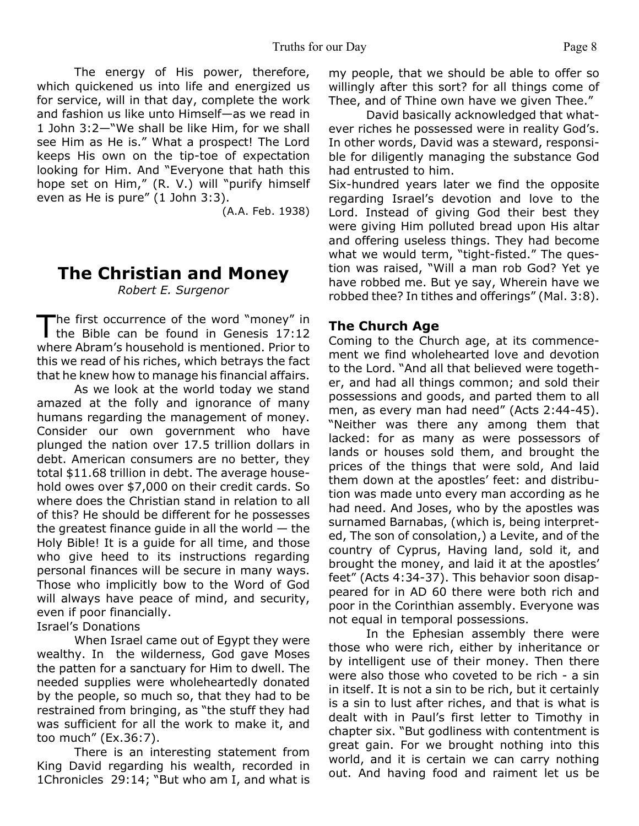The energy of His power, therefore, which quickened us into life and energized us for service, will in that day, complete the work and fashion us like unto Himself—as we read in 1 John 3:2—"We shall be like Him, for we shall see Him as He is." What a prospect! The Lord keeps His own on the tip-toe of expectation looking for Him. And "Everyone that hath this hope set on Him," (R. V.) will "purify himself even as He is pure" (1 John 3:3).

(A.A. Feb. 1938)

# **The Christian and Money**

*Robert E. Surgenor*

The first occurrence of the word "money" in<br>the Bible can be found in Genesis 17:12 he first occurrence of the word "money" in where Abram's household is mentioned. Prior to this we read of his riches, which betrays the fact that he knew how to manage his financial affairs.

 As we look at the world today we stand amazed at the folly and ignorance of many humans regarding the management of money. Consider our own government who have plunged the nation over 17.5 trillion dollars in debt. American consumers are no better, they total \$11.68 trillion in debt. The average household owes over \$7,000 on their credit cards. So where does the Christian stand in relation to all of this? He should be different for he possesses the greatest finance guide in all the world  $-$  the Holy Bible! It is a guide for all time, and those who give heed to its instructions regarding personal finances will be secure in many ways. Those who implicitly bow to the Word of God will always have peace of mind, and security, even if poor financially.

Israel's Donations

 When Israel came out of Egypt they were wealthy. In the wilderness, God gave Moses the patten for a sanctuary for Him to dwell. The needed supplies were wholeheartedly donated by the people, so much so, that they had to be restrained from bringing, as "the stuff they had was sufficient for all the work to make it, and too much" (Ex.36:7).

 There is an interesting statement from King David regarding his wealth, recorded in 1Chronicles 29:14; "But who am I, and what is my people, that we should be able to offer so willingly after this sort? for all things come of Thee, and of Thine own have we given Thee."

 David basically acknowledged that whatever riches he possessed were in reality God's. In other words, David was a steward, responsible for diligently managing the substance God had entrusted to him.

Six-hundred years later we find the opposite regarding Israel's devotion and love to the Lord. Instead of giving God their best they were giving Him polluted bread upon His altar and offering useless things. They had become what we would term, "tight-fisted." The question was raised, "Will a man rob God? Yet ye have robbed me. But ye say, Wherein have we robbed thee? In tithes and offerings" (Mal. 3:8).

# **The Church Age**

Coming to the Church age, at its commencement we find wholehearted love and devotion to the Lord. "And all that believed were together, and had all things common; and sold their possessions and goods, and parted them to all men, as every man had need" (Acts 2:44-45). "Neither was there any among them that lacked: for as many as were possessors of lands or houses sold them, and brought the prices of the things that were sold, And laid them down at the apostles' feet: and distribution was made unto every man according as he had need. And Joses, who by the apostles was surnamed Barnabas, (which is, being interpreted, The son of consolation,) a Levite, and of the country of Cyprus, Having land, sold it, and brought the money, and laid it at the apostles' feet" (Acts 4:34-37). This behavior soon disappeared for in AD 60 there were both rich and poor in the Corinthian assembly. Everyone was not equal in temporal possessions.

 In the Ephesian assembly there were those who were rich, either by inheritance or by intelligent use of their money. Then there were also those who coveted to be rich - a sin in itself. It is not a sin to be rich, but it certainly is a sin to lust after riches, and that is what is dealt with in Paul's first letter to Timothy in chapter six. "But godliness with contentment is great gain. For we brought nothing into this world, and it is certain we can carry nothing out. And having food and raiment let us be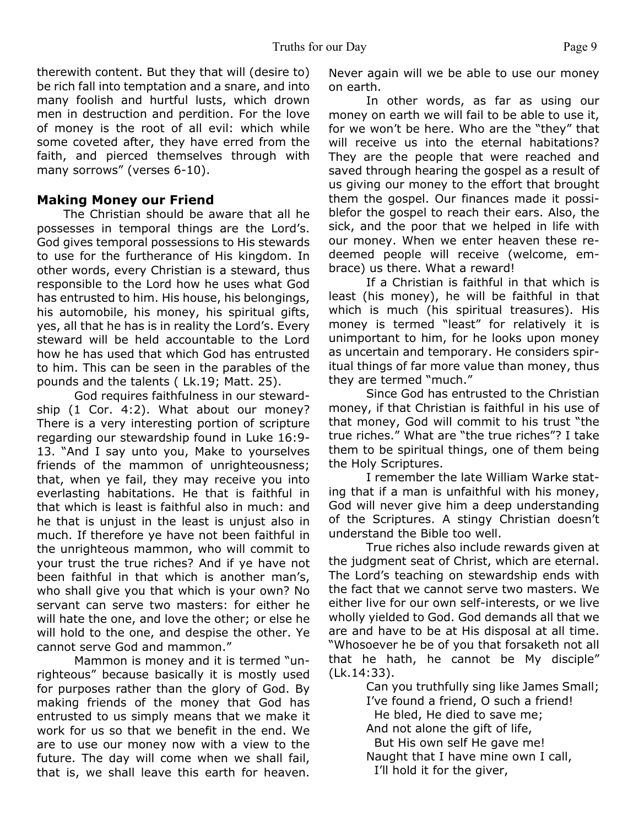therewith content. But they that will (desire to) be rich fall into temptation and a snare, and into many foolish and hurtful lusts, which drown men in destruction and perdition. For the love of money is the root of all evil: which while some coveted after, they have erred from the faith, and pierced themselves through with many sorrows" (verses 6-10).

# **Making Money our Friend**

 The Christian should be aware that all he possesses in temporal things are the Lord's. God gives temporal possessions to His stewards to use for the furtherance of His kingdom. In other words, every Christian is a steward, thus responsible to the Lord how he uses what God has entrusted to him. His house, his belongings, his automobile, his money, his spiritual gifts, yes, all that he has is in reality the Lord's. Every steward will be held accountable to the Lord how he has used that which God has entrusted to him. This can be seen in the parables of the pounds and the talents ( Lk.19; Matt. 25).

 God requires faithfulness in our stewardship (1 Cor. 4:2). What about our money? There is a very interesting portion of scripture regarding our stewardship found in Luke 16:9- 13. "And I say unto you, Make to yourselves friends of the mammon of unrighteousness; that, when ye fail, they may receive you into everlasting habitations. He that is faithful in that which is least is faithful also in much: and he that is unjust in the least is unjust also in much. If therefore ye have not been faithful in the unrighteous mammon, who will commit to your trust the true riches? And if ye have not been faithful in that which is another man's, who shall give you that which is your own? No servant can serve two masters: for either he will hate the one, and love the other; or else he will hold to the one, and despise the other. Ye cannot serve God and mammon."

 Mammon is money and it is termed "unrighteous" because basically it is mostly used for purposes rather than the glory of God. By making friends of the money that God has entrusted to us simply means that we make it work for us so that we benefit in the end. We are to use our money now with a view to the future. The day will come when we shall fail, that is, we shall leave this earth for heaven.

Never again will we be able to use our money on earth.

 In other words, as far as using our money on earth we will fail to be able to use it, for we won't be here. Who are the "they" that will receive us into the eternal habitations? They are the people that were reached and saved through hearing the gospel as a result of us giving our money to the effort that brought them the gospel. Our finances made it possiblefor the gospel to reach their ears. Also, the sick, and the poor that we helped in life with our money. When we enter heaven these redeemed people will receive (welcome, embrace) us there. What a reward!

 If a Christian is faithful in that which is least (his money), he will be faithful in that which is much (his spiritual treasures). His money is termed "least" for relatively it is unimportant to him, for he looks upon money as uncertain and temporary. He considers spiritual things of far more value than money, thus they are termed "much."

 Since God has entrusted to the Christian money, if that Christian is faithful in his use of that money, God will commit to his trust "the true riches." What are "the true riches"? I take them to be spiritual things, one of them being the Holy Scriptures.

 I remember the late William Warke stating that if a man is unfaithful with his money, God will never give him a deep understanding of the Scriptures. A stingy Christian doesn't understand the Bible too well.

 True riches also include rewards given at the judgment seat of Christ, which are eternal. The Lord's teaching on stewardship ends with the fact that we cannot serve two masters. We either live for our own self-interests, or we live wholly yielded to God. God demands all that we are and have to be at His disposal at all time. "Whosoever he be of you that forsaketh not all that he hath, he cannot be My disciple" (Lk.14:33).

 Can you truthfully sing like James Small; I've found a friend, O such a friend! He bled, He died to save me; And not alone the gift of life, But His own self He gave me! Naught that I have mine own I call, I'll hold it for the giver,